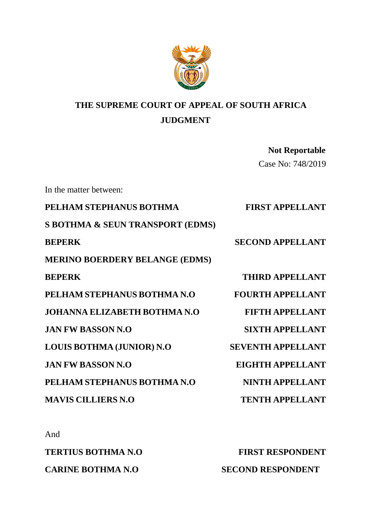

# **THE SUPREME COURT OF APPEAL OF SOUTH AFRICA JUDGMENT**

 **Not Reportable** Case No: 748/2019

In the matter between: **PELHAM STEPHANUS BOTHMA FIRST APPELLANT S BOTHMA & SEUN TRANSPORT (EDMS) BEPERK SECOND APPELLANT MERINO BOERDERY BELANGE (EDMS) BEPERK THIRD APPELLANT** PELHAM STEPHANUS BOTHMA N.O FOURTH APPELLANT **JOHANNA ELIZABETH BOTHMA N.O FIFTH APPELLANT JAN FW BASSON N.O SIXTH APPELLANT LOUIS BOTHMA (JUNIOR) N.O SEVENTH APPELLANT JAN FW BASSON N.O EIGHTH APPELLANT** PELHAM STEPHANUS BOTHMA N.O NINTH APPELLANT **MAVIS CILLIERS N.O TENTH APPELLANT** 

And

**TERTIUS BOTHMA N.O FIRST RESPONDENT CARINE BOTHMA N.O SECOND RESPONDENT**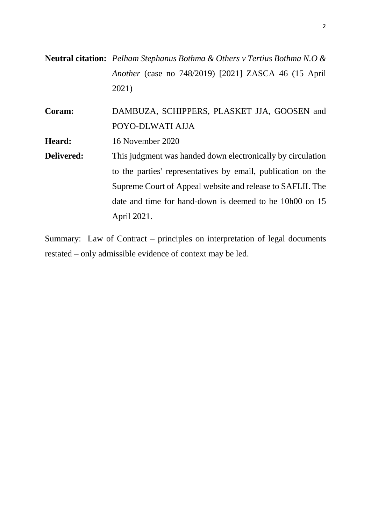**Neutral citation:** *Pelham Stephanus Bothma & Others v Tertius Bothma N.O & Another* (case no 748/2019) [2021] ZASCA 46 (15 April 2021)

**Coram:** DAMBUZA, SCHIPPERS, PLASKET JJA, GOOSEN and POYO-DLWATI AJJA

**Heard:** 16 November 2020

**Delivered:** This judgment was handed down electronically by circulation to the parties' representatives by email, publication on the Supreme Court of Appeal website and release to SAFLII. The date and time for hand-down is deemed to be 10h00 on 15 April 2021.

Summary: Law of Contract – principles on interpretation of legal documents restated – only admissible evidence of context may be led.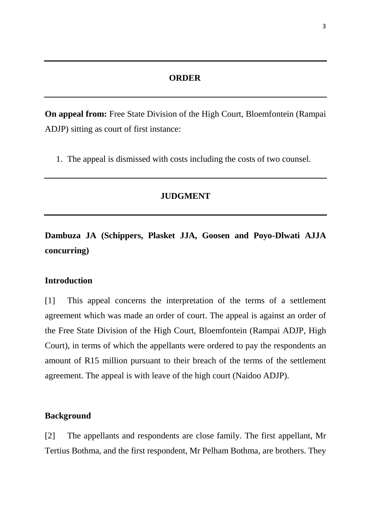# **ORDER**

**On appeal from:** Free State Division of the High Court, Bloemfontein (Rampai ADJP) sitting as court of first instance:

1. The appeal is dismissed with costs including the costs of two counsel.

#### **JUDGMENT**

**Dambuza JA (Schippers, Plasket JJA, Goosen and Poyo-Dlwati AJJA concurring)**

#### **Introduction**

[1] This appeal concerns the interpretation of the terms of a settlement agreement which was made an order of court. The appeal is against an order of the Free State Division of the High Court, Bloemfontein (Rampai ADJP, High Court), in terms of which the appellants were ordered to pay the respondents an amount of R15 million pursuant to their breach of the terms of the settlement agreement. The appeal is with leave of the high court (Naidoo ADJP).

# **Background**

[2] The appellants and respondents are close family. The first appellant, Mr Tertius Bothma, and the first respondent, Mr Pelham Bothma, are brothers. They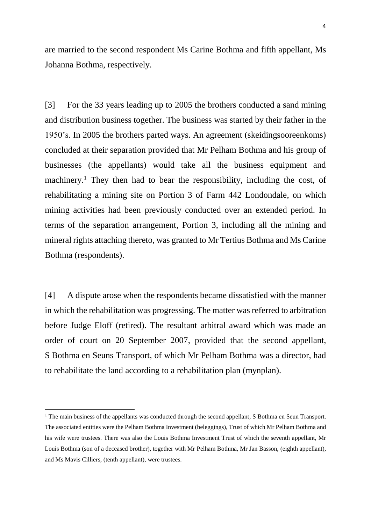are married to the second respondent Ms Carine Bothma and fifth appellant, Ms Johanna Bothma, respectively.

[3] For the 33 years leading up to 2005 the brothers conducted a sand mining and distribution business together. The business was started by their father in the 1950's. In 2005 the brothers parted ways. An agreement (skeidingsooreenkoms) concluded at their separation provided that Mr Pelham Bothma and his group of businesses (the appellants) would take all the business equipment and machinery.<sup>1</sup> They then had to bear the responsibility, including the cost, of rehabilitating a mining site on Portion 3 of Farm 442 Londondale, on which mining activities had been previously conducted over an extended period. In terms of the separation arrangement, Portion 3, including all the mining and mineral rights attaching thereto, was granted to Mr Tertius Bothma and Ms Carine Bothma (respondents).

[4] A dispute arose when the respondents became dissatisfied with the manner in which the rehabilitation was progressing. The matter was referred to arbitration before Judge Eloff (retired). The resultant arbitral award which was made an order of court on 20 September 2007, provided that the second appellant, S Bothma en Seuns Transport, of which Mr Pelham Bothma was a director, had to rehabilitate the land according to a rehabilitation plan (mynplan).

 $\overline{\phantom{a}}$ 

<sup>&</sup>lt;sup>1</sup> The main business of the appellants was conducted through the second appellant, S Bothma en Seun Transport. The associated entities were the Pelham Bothma Investment (beleggings), Trust of which Mr Pelham Bothma and his wife were trustees. There was also the Louis Bothma Investment Trust of which the seventh appellant, Mr Louis Bothma (son of a deceased brother), together with Mr Pelham Bothma, Mr Jan Basson, (eighth appellant), and Ms Mavis Cilliers, (tenth appellant), were trustees.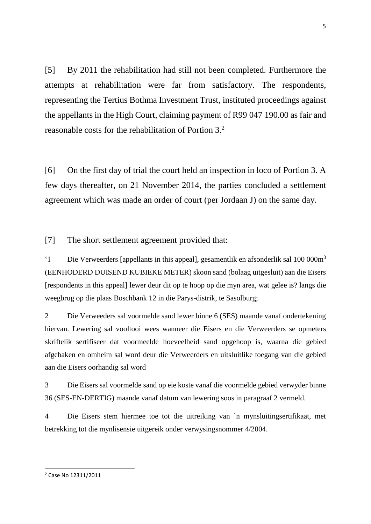[5] By 2011 the rehabilitation had still not been completed. Furthermore the attempts at rehabilitation were far from satisfactory. The respondents, representing the Tertius Bothma Investment Trust, instituted proceedings against the appellants in the High Court, claiming payment of R99 047 190.00 as fair and reasonable costs for the rehabilitation of Portion 3.<sup>2</sup>

[6] On the first day of trial the court held an inspection in loco of Portion 3. A few days thereafter, on 21 November 2014, the parties concluded a settlement agreement which was made an order of court (per Jordaan J) on the same day.

[7] The short settlement agreement provided that:

'1 Die Verweerders [appellants in this appeal], gesamentlik en afsonderlik sal 100 000m<sup>3</sup> (EENHODERD DUISEND KUBIEKE METER) skoon sand (bolaag uitgesluit) aan die Eisers [respondents in this appeal] lewer deur dit op te hoop op die myn area, wat gelee is? langs die weegbrug op die plaas Boschbank 12 in die Parys-distrik, te Sasolburg;

2 Die Verweeders sal voormelde sand lewer binne 6 (SES) maande vanaf ondertekening hiervan. Lewering sal vooltooi wees wanneer die Eisers en die Verweerders se opmeters skriftelik sertifiseer dat voormeelde hoeveelheid sand opgehoop is, waarna die gebied afgebaken en omheim sal word deur die Verweerders en uitsluitlike toegang van die gebied aan die Eisers oorhandig sal word

3 Die Eisers sal voormelde sand op eie koste vanaf die voormelde gebied verwyder binne 36 (SES-EN-DERTIG) maande vanaf datum van lewering soos in paragraaf 2 vermeld.

4 Die Eisers stem hiermee toe tot die uitreiking van ˋn mynsluitingsertifikaat, met betrekking tot die mynlisensie uitgereik onder verwysingsnommer 4/2004.

<sup>2</sup> Case No 12311/2011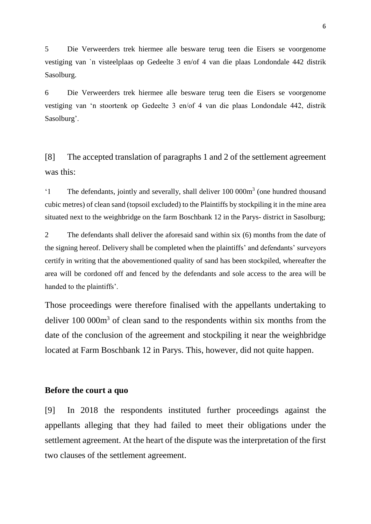5 Die Verweerders trek hiermee alle besware terug teen die Eisers se voorgenome vestiging van ˋn visteelplaas op Gedeelte 3 en/of 4 van die plaas Londondale 442 distrik Sasolburg.

6 Die Verweerders trek hiermee alle besware terug teen die Eisers se voorgenome vestiging van 'n stoortenk op Gedeelte 3 en/of 4 van die plaas Londondale 442, distrik Sasolburg'.

[8] The accepted translation of paragraphs 1 and 2 of the settlement agreement was this:

<sup>'1</sup> The defendants, jointly and severally, shall deliver 100 000m<sup>3</sup> (one hundred thousand cubic metres) of clean sand (topsoil excluded) to the Plaintiffs by stockpiling it in the mine area situated next to the weighbridge on the farm Boschbank 12 in the Parys- district in Sasolburg;

2 The defendants shall deliver the aforesaid sand within six (6) months from the date of the signing hereof. Delivery shall be completed when the plaintiffs' and defendants' surveyors certify in writing that the abovementioned quality of sand has been stockpiled, whereafter the area will be cordoned off and fenced by the defendants and sole access to the area will be handed to the plaintiffs'.

Those proceedings were therefore finalised with the appellants undertaking to deliver 100 000m<sup>3</sup> of clean sand to the respondents within six months from the date of the conclusion of the agreement and stockpiling it near the weighbridge located at Farm Boschbank 12 in Parys. This, however, did not quite happen.

#### **Before the court a quo**

[9] In 2018 the respondents instituted further proceedings against the appellants alleging that they had failed to meet their obligations under the settlement agreement. At the heart of the dispute was the interpretation of the first two clauses of the settlement agreement.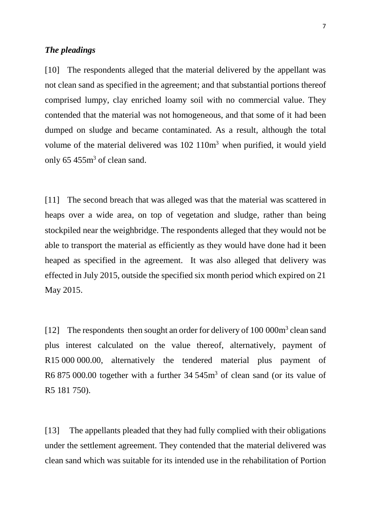#### *The pleadings*

[10] The respondents alleged that the material delivered by the appellant was not clean sand as specified in the agreement; and that substantial portions thereof comprised lumpy, clay enriched loamy soil with no commercial value. They contended that the material was not homogeneous, and that some of it had been dumped on sludge and became contaminated. As a result, although the total volume of the material delivered was 102 110m<sup>3</sup> when purified, it would yield only 65 455m<sup>3</sup> of clean sand.

[11] The second breach that was alleged was that the material was scattered in heaps over a wide area, on top of vegetation and sludge, rather than being stockpiled near the weighbridge. The respondents alleged that they would not be able to transport the material as efficiently as they would have done had it been heaped as specified in the agreement. It was also alleged that delivery was effected in July 2015, outside the specified six month period which expired on 21 May 2015.

[12] The respondents then sought an order for delivery of 100 000m<sup>3</sup> clean sand plus interest calculated on the value thereof, alternatively, payment of R15 000 000.00, alternatively the tendered material plus payment of R6 875 000.00 together with a further 34 545m<sup>3</sup> of clean sand (or its value of R5 181 750).

[13] The appellants pleaded that they had fully complied with their obligations under the settlement agreement. They contended that the material delivered was clean sand which was suitable for its intended use in the rehabilitation of Portion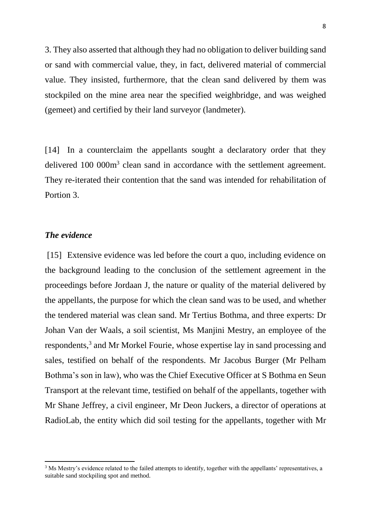3. They also asserted that although they had no obligation to deliver building sand or sand with commercial value, they, in fact, delivered material of commercial value. They insisted, furthermore, that the clean sand delivered by them was stockpiled on the mine area near the specified weighbridge, and was weighed (gemeet) and certified by their land surveyor (landmeter).

[14] In a counterclaim the appellants sought a declaratory order that they delivered 100 000m<sup>3</sup> clean sand in accordance with the settlement agreement. They re-iterated their contention that the sand was intended for rehabilitation of Portion 3.

# *The evidence*

**.** 

[15] Extensive evidence was led before the court a quo, including evidence on the background leading to the conclusion of the settlement agreement in the proceedings before Jordaan J, the nature or quality of the material delivered by the appellants, the purpose for which the clean sand was to be used, and whether the tendered material was clean sand. Mr Tertius Bothma, and three experts: Dr Johan Van der Waals, a soil scientist, Ms Manjini Mestry, an employee of the respondents,<sup>3</sup> and Mr Morkel Fourie, whose expertise lay in sand processing and sales, testified on behalf of the respondents. Mr Jacobus Burger (Mr Pelham Bothma's son in law), who was the Chief Executive Officer at S Bothma en Seun Transport at the relevant time, testified on behalf of the appellants, together with Mr Shane Jeffrey, a civil engineer, Mr Deon Juckers, a director of operations at RadioLab, the entity which did soil testing for the appellants, together with Mr

<sup>&</sup>lt;sup>3</sup> Ms Mestry's evidence related to the failed attempts to identify, together with the appellants' representatives, a suitable sand stockpiling spot and method.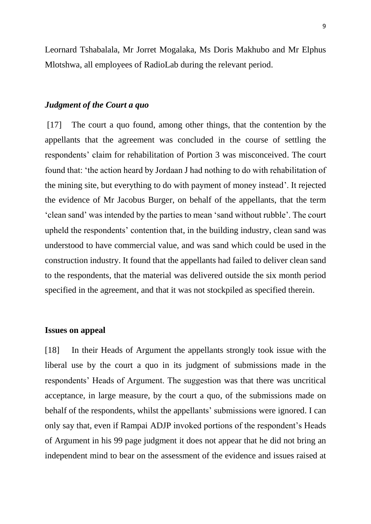Leornard Tshabalala, Mr Jorret Mogalaka, Ms Doris Makhubo and Mr Elphus Mlotshwa, all employees of RadioLab during the relevant period.

#### *Judgment of the Court a quo*

[17] The court a quo found, among other things, that the contention by the appellants that the agreement was concluded in the course of settling the respondents' claim for rehabilitation of Portion 3 was misconceived. The court found that: 'the action heard by Jordaan J had nothing to do with rehabilitation of the mining site, but everything to do with payment of money instead'. It rejected the evidence of Mr Jacobus Burger, on behalf of the appellants, that the term 'clean sand' was intended by the parties to mean 'sand without rubble'. The court upheld the respondents' contention that, in the building industry, clean sand was understood to have commercial value, and was sand which could be used in the construction industry. It found that the appellants had failed to deliver clean sand to the respondents, that the material was delivered outside the six month period specified in the agreement, and that it was not stockpiled as specified therein.

#### **Issues on appeal**

[18] In their Heads of Argument the appellants strongly took issue with the liberal use by the court a quo in its judgment of submissions made in the respondents' Heads of Argument. The suggestion was that there was uncritical acceptance, in large measure, by the court a quo, of the submissions made on behalf of the respondents, whilst the appellants' submissions were ignored. I can only say that, even if Rampai ADJP invoked portions of the respondent's Heads of Argument in his 99 page judgment it does not appear that he did not bring an independent mind to bear on the assessment of the evidence and issues raised at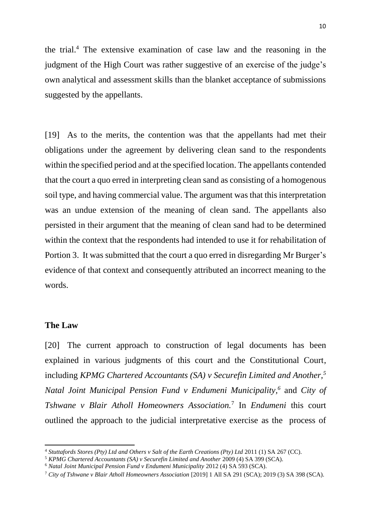the trial. <sup>4</sup> The extensive examination of case law and the reasoning in the judgment of the High Court was rather suggestive of an exercise of the judge's own analytical and assessment skills than the blanket acceptance of submissions suggested by the appellants.

[19] As to the merits, the contention was that the appellants had met their obligations under the agreement by delivering clean sand to the respondents within the specified period and at the specified location. The appellants contended that the court a quo erred in interpreting clean sand as consisting of a homogenous soil type, and having commercial value. The argument was that this interpretation was an undue extension of the meaning of clean sand. The appellants also persisted in their argument that the meaning of clean sand had to be determined within the context that the respondents had intended to use it for rehabilitation of Portion 3. It was submitted that the court a quo erred in disregarding Mr Burger's evidence of that context and consequently attributed an incorrect meaning to the words.

# **The Law**

 $\overline{\phantom{a}}$ 

[20] The current approach to construction of legal documents has been explained in various judgments of this court and the Constitutional Court, including *KPMG Chartered Accountants (SA) v Securefin Limited and Another,<sup>5</sup> Natal Joint Municipal Pension Fund v Endumeni Municipality*,<sup>6</sup> and *City of Tshwane v Blair Atholl Homeowners Association.*<sup>7</sup> In *Endumeni* this court outlined the approach to the judicial interpretative exercise as the process of

<sup>4</sup> *Stuttafords Stores (Pty) Ltd and Others v Salt of the Earth Creations (Pty) Ltd* 2011 (1) SA 267 (CC).

<sup>&</sup>lt;sup>5</sup> KPMG Chartered Accountants (SA) v Securefin Limited and Another 2009 (4) SA 399 (SCA).

<sup>6</sup> *Natal Joint Municipal Pension Fund v Endumeni Municipality* 2012 (4) SA 593 (SCA).

<sup>7</sup> *City of Tshwane v Blair Atholl Homeowners Association* [2019] 1 All SA 291 (SCA); 2019 (3) SA 398 (SCA).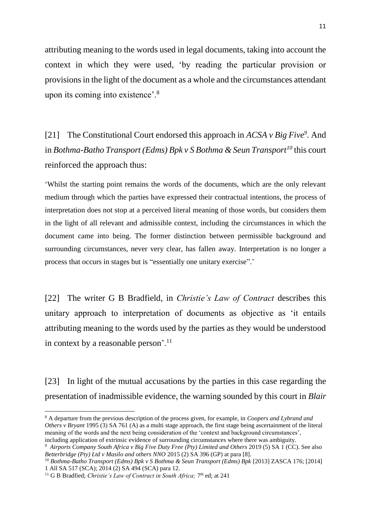attributing meaning to the words used in legal documents, taking into account the context in which they were used, 'by reading the particular provision or provisions in the light of the document as a whole and the circumstances attendant upon its coming into existence'.<sup>8</sup>

[21] The Constitutional Court endorsed this approach in *ACSA v Big Five<sup>9</sup> .* And in *Bothma-Batho Transport (Edms) Bpk v S Bothma & Seun Transport<sup>10</sup>* this court reinforced the approach thus:

'Whilst the starting point remains the words of the documents, which are the only relevant medium through which the parties have expressed their contractual intentions, the process of interpretation does not stop at a perceived literal meaning of those words, but considers them in the light of all relevant and admissible context, including the circumstances in which the document came into being. The former distinction between permissible background and surrounding circumstances, never very clear, has fallen away. Interpretation is no longer a process that occurs in stages but is "essentially one unitary exercise".'

[22] The writer G B Bradfield, in *Christie's Law of Contract* describes this unitary approach to interpretation of documents as objective as 'it entails attributing meaning to the words used by the parties as they would be understood in context by a reasonable person'.<sup>11</sup>

[23] In light of the mutual accusations by the parties in this case regarding the presentation of inadmissible evidence, the warning sounded by this court in *Blair*

 $\overline{\phantom{a}}$ 

<sup>8</sup> A departure from the previous description of the process given, for example, in *Coopers and Lybrand and Others v Bryant* 1995 (3) SA 761 (A) as a multi stage approach, the first stage being ascertainment of the literal meaning of the words and the next being consideration of the 'context and background circumstances', including application of extrinsic evidence of surrounding circumstances where there was ambiguity.

<sup>&</sup>lt;sup>9</sup> Airports Company South Africa v Big Five Duty Free (Pty) Limited and Others 2019 (5) SA 1 (CC). See also *Betterbridge (Pty) Ltd v Masilo and others NNO* 2015 (2) SA 396 (GP) at para [8].

<sup>10</sup> *Bothma-Batho Transport (Edms) Bpk v S Bothma & Seun Transport (Edms) Bpk* [2013] ZASCA 176; [2014] 1 All SA 517 (SCA); 2014 (2) SA 494 (SCA) para 12.

<sup>&</sup>lt;sup>11</sup> G B Bradfied; *Christie's Law of Contract in South Africa*; 7<sup>th</sup> ed; at 241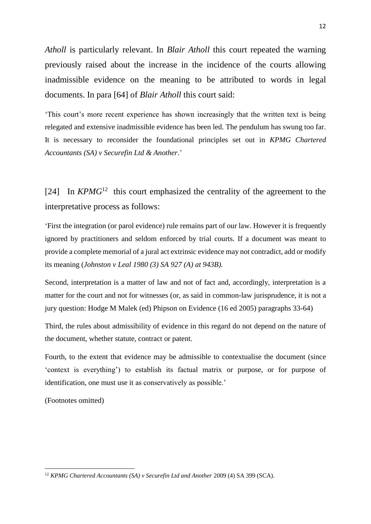*Atholl* is particularly relevant. In *Blair Atholl* this court repeated the warning previously raised about the increase in the incidence of the courts allowing inadmissible evidence on the meaning to be attributed to words in legal documents. In para [64] of *Blair Atholl* this court said:

'This court's more recent experience has shown increasingly that the written text is being relegated and extensive inadmissible evidence has been led. The pendulum has swung too far. It is necessary to reconsider the foundational principles set out in *KPMG Chartered Accountants (SA) v Securefin Ltd & Another*.'

[24] In  $KPMG^{12}$  this court emphasized the centrality of the agreement to the interpretative process as follows:

'First the integration (or parol evidence) rule remains part of our law. However it is frequently ignored by practitioners and seldom enforced by trial courts. If a document was meant to provide a complete memorial of a jural act extrinsic evidence may not contradict, add or modify its meaning (*Johnston v Leal 1980 (3) SA 927 (A) at 943B).*

Second, interpretation is a matter of law and not of fact and, accordingly, interpretation is a matter for the court and not for witnesses (or, as said in common-law jurisprudence, it is not a jury question: Hodge M Malek (ed) Phipson on Evidence (16 ed 2005) paragraphs 33-64)

Third, the rules about admissibility of evidence in this regard do not depend on the nature of the document, whether statute, contract or patent.

Fourth, to the extent that evidence may be admissible to contextualise the document (since 'context is everything') to establish its factual matrix or purpose, or for purpose of identification, one must use it as conservatively as possible.'

(Footnotes omitted)

<sup>12</sup>

<sup>&</sup>lt;sup>12</sup> *KPMG Chartered Accountants (SA) v Securefin Ltd and Another 2009 (4) SA 399 (SCA).*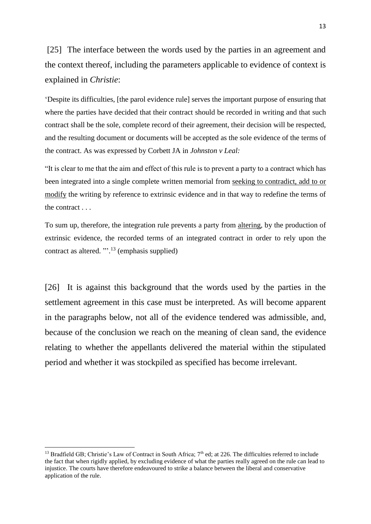[25] The interface between the words used by the parties in an agreement and the context thereof, including the parameters applicable to evidence of context is explained in *Christie*:

'Despite its difficulties, [the parol evidence rule] serves the important purpose of ensuring that where the parties have decided that their contract should be recorded in writing and that such contract shall be the sole, complete record of their agreement, their decision will be respected, and the resulting document or documents will be accepted as the sole evidence of the terms of the contract. As was expressed by Corbett JA in *Johnston v Leal:*

"It is clear to me that the aim and effect of this rule is to prevent a party to a contract which has been integrated into a single complete written memorial from seeking to contradict, add to or modify the writing by reference to extrinsic evidence and in that way to redefine the terms of the contract . . .

To sum up, therefore, the integration rule prevents a party from altering, by the production of extrinsic evidence, the recorded terms of an integrated contract in order to rely upon the contract as altered. "'.<sup>13</sup> (emphasis supplied)

[26] It is against this background that the words used by the parties in the settlement agreement in this case must be interpreted. As will become apparent in the paragraphs below, not all of the evidence tendered was admissible, and, because of the conclusion we reach on the meaning of clean sand, the evidence relating to whether the appellants delivered the material within the stipulated period and whether it was stockpiled as specified has become irrelevant.

<sup>&</sup>lt;sup>13</sup> Bradfield GB; Christie's Law of Contract in South Africa;  $7<sup>th</sup>$  ed; at 226. The difficulties referred to include the fact that when rigidly applied, by excluding evidence of what the parties really agreed on the rule can lead to injustice. The courts have therefore endeavoured to strike a balance between the liberal and conservative application of the rule.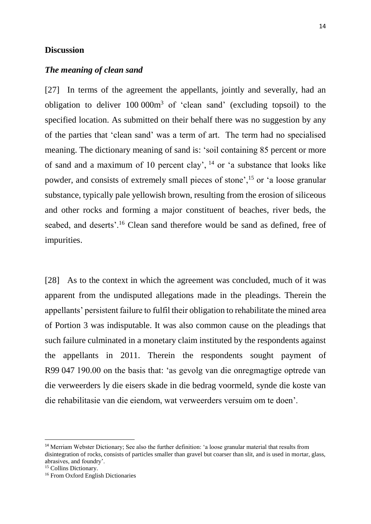## **Discussion**

## *The meaning of clean sand*

[27] In terms of the agreement the appellants, jointly and severally, had an obligation to deliver 100 000m<sup>3</sup> of 'clean sand' (excluding topsoil) to the specified location. As submitted on their behalf there was no suggestion by any of the parties that 'clean sand' was a term of art. The term had no specialised meaning. The dictionary meaning of sand is: 'soil containing 85 percent or more of sand and a maximum of 10 percent clay',  $^{14}$  or 'a substance that looks like powder, and consists of extremely small pieces of stone',<sup>15</sup> or 'a loose granular substance, typically pale yellowish brown, resulting from the erosion of siliceous and other rocks and forming a major constituent of beaches, river beds, the seabed, and deserts'.<sup>16</sup> Clean sand therefore would be sand as defined, free of impurities.

[28] As to the context in which the agreement was concluded, much of it was apparent from the undisputed allegations made in the pleadings. Therein the appellants' persistent failure to fulfil their obligation to rehabilitate the mined area of Portion 3 was indisputable. It was also common cause on the pleadings that such failure culminated in a monetary claim instituted by the respondents against the appellants in 2011. Therein the respondents sought payment of R99 047 190.00 on the basis that: 'as gevolg van die onregmagtige optrede van die verweerders ly die eisers skade in die bedrag voormeld, synde die koste van die rehabilitasie van die eiendom, wat verweerders versuim om te doen'.

1

<sup>14</sup> Merriam Webster Dictionary; See also the further definition: 'a loose granular material that results from disintegration of rocks, consists of particles smaller than gravel but coarser than slit, and is used in mortar, glass, abrasives, and foundry'.

<sup>&</sup>lt;sup>15</sup> Collins Dictionary.

<sup>16</sup> From Oxford English Dictionaries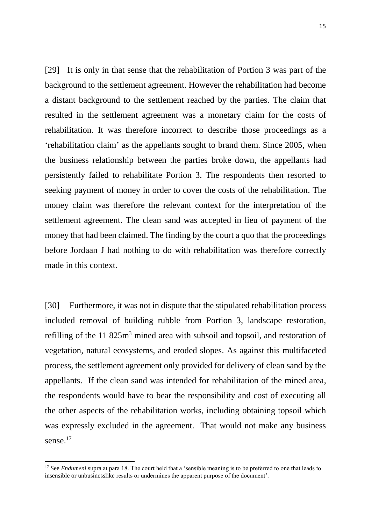[29] It is only in that sense that the rehabilitation of Portion 3 was part of the background to the settlement agreement. However the rehabilitation had become a distant background to the settlement reached by the parties. The claim that resulted in the settlement agreement was a monetary claim for the costs of rehabilitation. It was therefore incorrect to describe those proceedings as a 'rehabilitation claim' as the appellants sought to brand them. Since 2005, when the business relationship between the parties broke down, the appellants had persistently failed to rehabilitate Portion 3. The respondents then resorted to seeking payment of money in order to cover the costs of the rehabilitation. The money claim was therefore the relevant context for the interpretation of the settlement agreement. The clean sand was accepted in lieu of payment of the money that had been claimed. The finding by the court a quo that the proceedings before Jordaan J had nothing to do with rehabilitation was therefore correctly made in this context.

[30] Furthermore, it was not in dispute that the stipulated rehabilitation process included removal of building rubble from Portion 3, landscape restoration, refilling of the 11 825m<sup>3</sup> mined area with subsoil and topsoil, and restoration of vegetation, natural ecosystems, and eroded slopes. As against this multifaceted process, the settlement agreement only provided for delivery of clean sand by the appellants. If the clean sand was intended for rehabilitation of the mined area, the respondents would have to bear the responsibility and cost of executing all the other aspects of the rehabilitation works, including obtaining topsoil which was expressly excluded in the agreement. That would not make any business sense.<sup>17</sup>

<sup>&</sup>lt;sup>17</sup> See *Endumeni* supra at para 18. The court held that a 'sensible meaning is to be preferred to one that leads to insensible or unbusinesslike results or undermines the apparent purpose of the document'.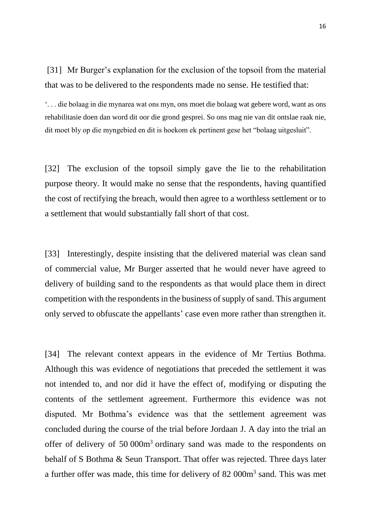[31] Mr Burger's explanation for the exclusion of the topsoil from the material that was to be delivered to the respondents made no sense. He testified that:

'. . . die bolaag in die mynarea wat ons myn, ons moet die bolaag wat gebere word, want as ons rehabilitasie doen dan word dit oor die grond gesprei. So ons mag nie van dit ontslae raak nie, dit moet bly op die myngebied en dit is hoekom ek pertinent gese het "bolaag uitgesluit".

[32] The exclusion of the topsoil simply gave the lie to the rehabilitation purpose theory. It would make no sense that the respondents, having quantified the cost of rectifying the breach, would then agree to a worthless settlement or to a settlement that would substantially fall short of that cost.

[33] Interestingly, despite insisting that the delivered material was clean sand of commercial value, Mr Burger asserted that he would never have agreed to delivery of building sand to the respondents as that would place them in direct competition with the respondents in the business of supply of sand. This argument only served to obfuscate the appellants' case even more rather than strengthen it.

[34] The relevant context appears in the evidence of Mr Tertius Bothma. Although this was evidence of negotiations that preceded the settlement it was not intended to, and nor did it have the effect of, modifying or disputing the contents of the settlement agreement. Furthermore this evidence was not disputed. Mr Bothma's evidence was that the settlement agreement was concluded during the course of the trial before Jordaan J. A day into the trial an offer of delivery of 50 000m<sup>3</sup> ordinary sand was made to the respondents on behalf of S Bothma & Seun Transport. That offer was rejected. Three days later a further offer was made, this time for delivery of 82 000m<sup>3</sup> sand. This was met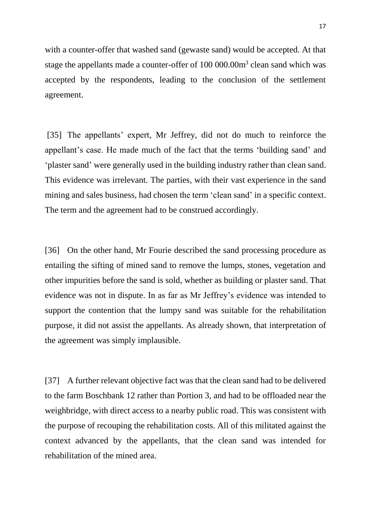with a counter-offer that washed sand (gewaste sand) would be accepted. At that stage the appellants made a counter-offer of 100 000.00m<sup>3</sup> clean sand which was accepted by the respondents, leading to the conclusion of the settlement agreement.

[35] The appellants' expert, Mr Jeffrey, did not do much to reinforce the appellant's case. He made much of the fact that the terms 'building sand' and 'plaster sand' were generally used in the building industry rather than clean sand. This evidence was irrelevant. The parties, with their vast experience in the sand mining and sales business, had chosen the term 'clean sand' in a specific context. The term and the agreement had to be construed accordingly.

[36] On the other hand, Mr Fourie described the sand processing procedure as entailing the sifting of mined sand to remove the lumps, stones, vegetation and other impurities before the sand is sold, whether as building or plaster sand. That evidence was not in dispute. In as far as Mr Jeffrey's evidence was intended to support the contention that the lumpy sand was suitable for the rehabilitation purpose, it did not assist the appellants. As already shown, that interpretation of the agreement was simply implausible.

[37] A further relevant objective fact was that the clean sand had to be delivered to the farm Boschbank 12 rather than Portion 3, and had to be offloaded near the weighbridge, with direct access to a nearby public road. This was consistent with the purpose of recouping the rehabilitation costs. All of this militated against the context advanced by the appellants, that the clean sand was intended for rehabilitation of the mined area.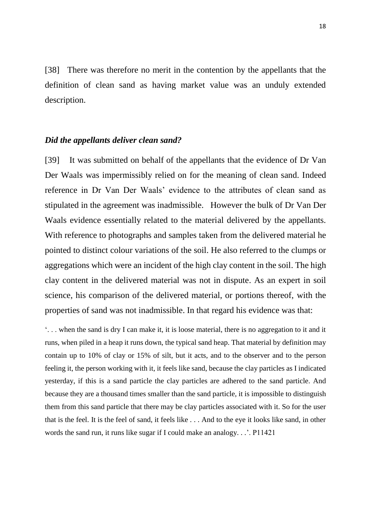[38] There was therefore no merit in the contention by the appellants that the definition of clean sand as having market value was an unduly extended description.

# *Did the appellants deliver clean sand?*

[39] It was submitted on behalf of the appellants that the evidence of Dr Van Der Waals was impermissibly relied on for the meaning of clean sand. Indeed reference in Dr Van Der Waals' evidence to the attributes of clean sand as stipulated in the agreement was inadmissible. However the bulk of Dr Van Der Waals evidence essentially related to the material delivered by the appellants. With reference to photographs and samples taken from the delivered material he pointed to distinct colour variations of the soil. He also referred to the clumps or aggregations which were an incident of the high clay content in the soil. The high clay content in the delivered material was not in dispute. As an expert in soil science, his comparison of the delivered material, or portions thereof, with the properties of sand was not inadmissible. In that regard his evidence was that:

'. . . when the sand is dry I can make it, it is loose material, there is no aggregation to it and it runs, when piled in a heap it runs down, the typical sand heap. That material by definition may contain up to 10% of clay or 15% of silt, but it acts, and to the observer and to the person feeling it, the person working with it, it feels like sand, because the clay particles as I indicated yesterday, if this is a sand particle the clay particles are adhered to the sand particle. And because they are a thousand times smaller than the sand particle, it is impossible to distinguish them from this sand particle that there may be clay particles associated with it. So for the user that is the feel. It is the feel of sand, it feels like . . . And to the eye it looks like sand, in other words the sand run, it runs like sugar if I could make an analogy. . .'. P11421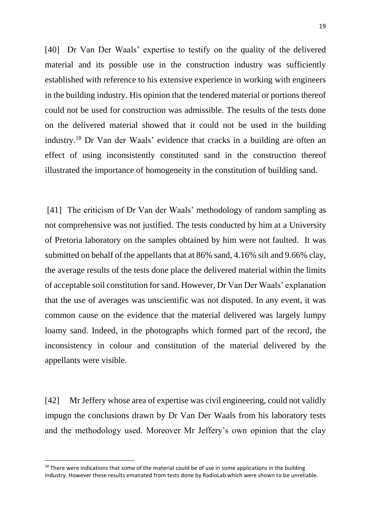[40] Dr Van Der Waals' expertise to testify on the quality of the delivered material and its possible use in the construction industry was sufficiently established with reference to his extensive experience in working with engineers in the building industry. His opinion that the tendered material or portions thereof could not be used for construction was admissible. The results of the tests done on the delivered material showed that it could not be used in the building industry. <sup>18</sup> Dr Van der Waals' evidence that cracks in a building are often an effect of using inconsistently constituted sand in the construction thereof illustrated the importance of homogeneity in the constitution of building sand.

[41] The criticism of Dr Van der Waals' methodology of random sampling as not comprehensive was not justified. The tests conducted by him at a University of Pretoria laboratory on the samples obtained by him were not faulted. It was submitted on behalf of the appellants that at 86% sand, 4.16% silt and 9.66% clay, the average results of the tests done place the delivered material within the limits of acceptable soil constitution for sand. However, Dr Van Der Waals' explanation that the use of averages was unscientific was not disputed. In any event, it was common cause on the evidence that the material delivered was largely lumpy loamy sand. Indeed, in the photographs which formed part of the record, the inconsistency in colour and constitution of the material delivered by the appellants were visible.

[42] Mr Jeffery whose area of expertise was civil engineering, could not validly impugn the conclusions drawn by Dr Van Der Waals from his laboratory tests and the methodology used. Moreover Mr Jeffery's own opinion that the clay

<sup>&</sup>lt;sup>18</sup> There were indications that some of the material could be of use in some applications in the building industry. However these results emanated from tests done by RadioLab which were shown to be unreliable.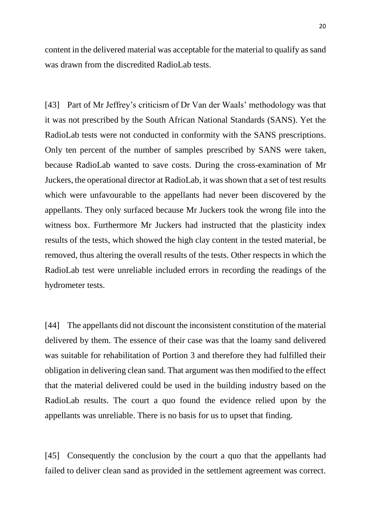content in the delivered material was acceptable for the material to qualify as sand was drawn from the discredited RadioLab tests.

[43] Part of Mr Jeffrey's criticism of Dr Van der Waals' methodology was that it was not prescribed by the South African National Standards (SANS). Yet the RadioLab tests were not conducted in conformity with the SANS prescriptions. Only ten percent of the number of samples prescribed by SANS were taken, because RadioLab wanted to save costs. During the cross-examination of Mr Juckers, the operational director at RadioLab, it was shown that a set of test results which were unfavourable to the appellants had never been discovered by the appellants. They only surfaced because Mr Juckers took the wrong file into the witness box. Furthermore Mr Juckers had instructed that the plasticity index results of the tests, which showed the high clay content in the tested material, be removed, thus altering the overall results of the tests. Other respects in which the RadioLab test were unreliable included errors in recording the readings of the hydrometer tests.

[44] The appellants did not discount the inconsistent constitution of the material delivered by them. The essence of their case was that the loamy sand delivered was suitable for rehabilitation of Portion 3 and therefore they had fulfilled their obligation in delivering clean sand. That argument was then modified to the effect that the material delivered could be used in the building industry based on the RadioLab results. The court a quo found the evidence relied upon by the appellants was unreliable. There is no basis for us to upset that finding.

[45] Consequently the conclusion by the court a quo that the appellants had failed to deliver clean sand as provided in the settlement agreement was correct.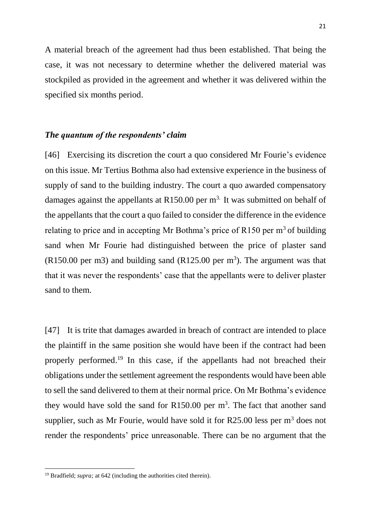A material breach of the agreement had thus been established. That being the case, it was not necessary to determine whether the delivered material was stockpiled as provided in the agreement and whether it was delivered within the specified six months period.

# *The quantum of the respondents' claim*

[46] Exercising its discretion the court a quo considered Mr Fourie's evidence on this issue. Mr Tertius Bothma also had extensive experience in the business of supply of sand to the building industry. The court a quo awarded compensatory damages against the appellants at R150.00 per  $m<sup>3</sup>$ . It was submitted on behalf of the appellants that the court a quo failed to consider the difference in the evidence relating to price and in accepting Mr Bothma's price of  $R150$  per m<sup>3</sup> of building sand when Mr Fourie had distinguished between the price of plaster sand  $(R150.00 \text{ per m}^3)$  and building sand  $(R125.00 \text{ per m}^3)$ . The argument was that that it was never the respondents' case that the appellants were to deliver plaster sand to them.

[47] It is trite that damages awarded in breach of contract are intended to place the plaintiff in the same position she would have been if the contract had been properly performed.<sup>19</sup> In this case, if the appellants had not breached their obligations under the settlement agreement the respondents would have been able to sell the sand delivered to them at their normal price. On Mr Bothma's evidence they would have sold the sand for  $R150.00$  per  $m<sup>3</sup>$ . The fact that another sand supplier, such as Mr Fourie, would have sold it for  $R25.00$  less per  $m<sup>3</sup>$  does not render the respondents' price unreasonable. There can be no argument that the

<sup>&</sup>lt;sup>19</sup> Bradfield; *supra*; at 642 (including the authorities cited therein).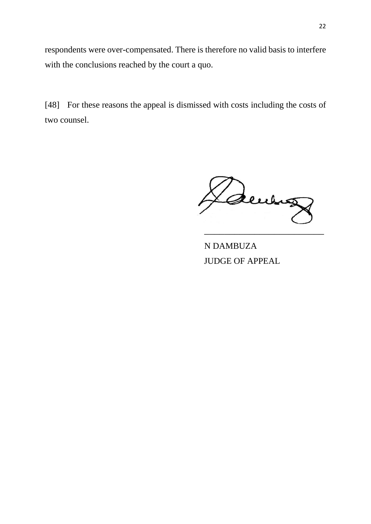respondents were over-compensated. There is therefore no valid basis to interfere with the conclusions reached by the court a quo.

[48] For these reasons the appeal is dismissed with costs including the costs of two counsel.

denny \_\_\_\_\_\_\_\_\_\_\_\_\_\_\_\_\_\_\_\_\_\_\_\_

N DAMBUZA JUDGE OF APPEAL